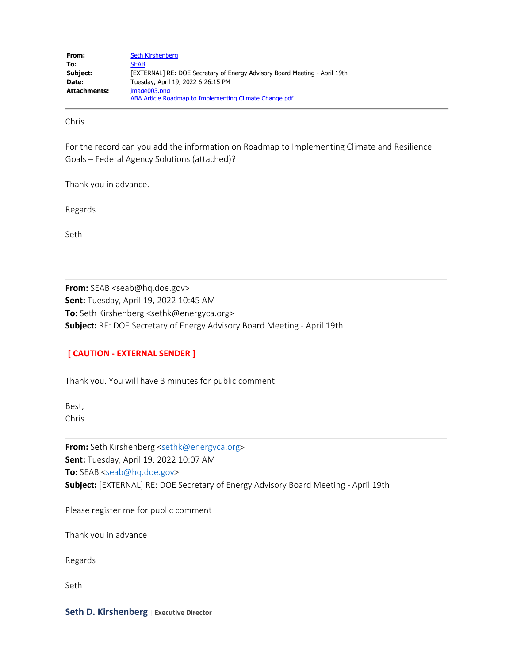| From:        | Seth Kirshenberg                                                           |
|--------------|----------------------------------------------------------------------------|
| To:          | <b>SEAB</b>                                                                |
| Subject:     | [EXTERNAL] RE: DOE Secretary of Energy Advisory Board Meeting - April 19th |
| Date:        | Tuesday, April 19, 2022 6:26:15 PM                                         |
| Attachments: | image003.png                                                               |
|              | ABA Article Roadmap to Implementing Climate Change.pdf                     |

Chris

For the record can you add the information on Roadmap to Implementing Climate and Resilience Goals – Federal Agency Solutions (attached)?

Thank you in advance.

Regards

Seth

**From:** SEAB <seab@hq.doe.gov> **Sent:** Tuesday, April 19, 2022 10:45 AM **To:** Seth Kirshenberg <sethk@energyca.org> **Subject:** RE: DOE Secretary of Energy Advisory Board Meeting - April 19th

## **[ CAUTION - EXTERNAL SENDER ]**

Thank you. You will have 3 minutes for public comment.

Best, Chris

From: Seth Kirshenberg [<sethk@energyca.org](mailto:sethk@energyca.org)> **Sent:** Tuesday, April 19, 2022 10:07 AM **To:** SEAB [<seab@hq.doe.gov](mailto:seab@hq.doe.gov)> **Subject:** [EXTERNAL] RE: DOE Secretary of Energy Advisory Board Meeting - April 19th

Please register me for public comment

Thank you in advance

Regards

Seth

**Seth D. Kirshenberg** | **Executive Director**